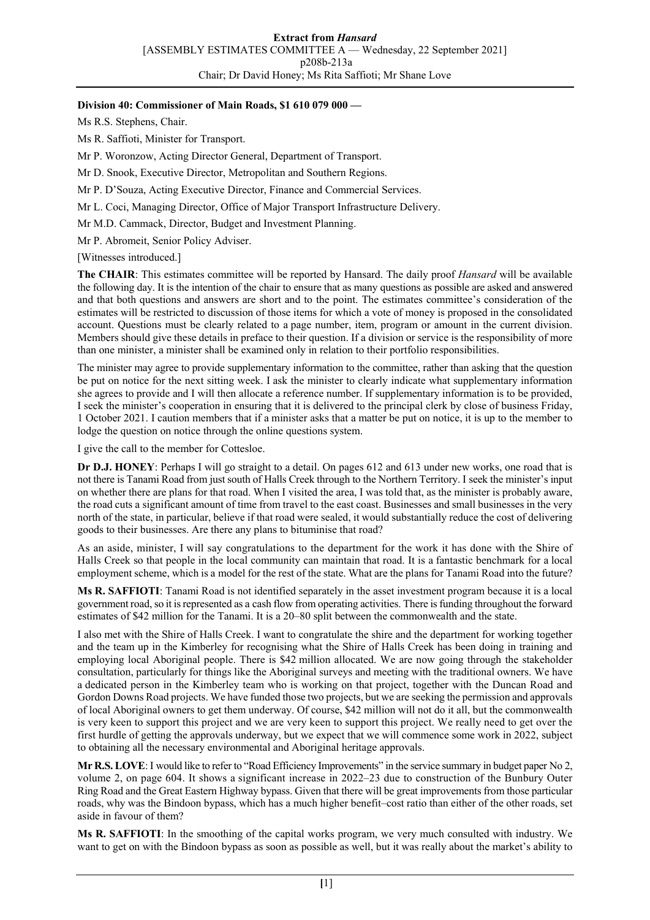#### **Division 40: Commissioner of Main Roads, \$1 610 079 000 —**

Ms R.S. Stephens, Chair.

Ms R. Saffioti, Minister for Transport.

Mr P. Woronzow, Acting Director General, Department of Transport.

Mr D. Snook, Executive Director, Metropolitan and Southern Regions.

Mr P. D'Souza, Acting Executive Director, Finance and Commercial Services.

Mr L. Coci, Managing Director, Office of Major Transport Infrastructure Delivery.

Mr M.D. Cammack, Director, Budget and Investment Planning.

Mr P. Abromeit, Senior Policy Adviser.

[Witnesses introduced.]

**The CHAIR**: This estimates committee will be reported by Hansard. The daily proof *Hansard* will be available the following day. It is the intention of the chair to ensure that as many questions as possible are asked and answered and that both questions and answers are short and to the point. The estimates committee's consideration of the estimates will be restricted to discussion of those items for which a vote of money is proposed in the consolidated account. Questions must be clearly related to a page number, item, program or amount in the current division. Members should give these details in preface to their question. If a division or service is the responsibility of more than one minister, a minister shall be examined only in relation to their portfolio responsibilities.

The minister may agree to provide supplementary information to the committee, rather than asking that the question be put on notice for the next sitting week. I ask the minister to clearly indicate what supplementary information she agrees to provide and I will then allocate a reference number. If supplementary information is to be provided, I seek the minister's cooperation in ensuring that it is delivered to the principal clerk by close of business Friday, 1 October 2021. I caution members that if a minister asks that a matter be put on notice, it is up to the member to lodge the question on notice through the online questions system.

I give the call to the member for Cottesloe.

**Dr D.J. HONEY**: Perhaps I will go straight to a detail. On pages 612 and 613 under new works, one road that is not there is Tanami Road from just south of Halls Creek through to the Northern Territory. I seek the minister's input on whether there are plans for that road. When I visited the area, I was told that, as the minister is probably aware, the road cuts a significant amount of time from travel to the east coast. Businesses and small businesses in the very north of the state, in particular, believe if that road were sealed, it would substantially reduce the cost of delivering goods to their businesses. Are there any plans to bituminise that road?

As an aside, minister, I will say congratulations to the department for the work it has done with the Shire of Halls Creek so that people in the local community can maintain that road. It is a fantastic benchmark for a local employment scheme, which is a model for the rest of the state. What are the plans for Tanami Road into the future?

**Ms R. SAFFIOTI**: Tanami Road is not identified separately in the asset investment program because it is a local government road, so it is represented as a cash flow from operating activities. There is funding throughout the forward estimates of \$42 million for the Tanami. It is a 20–80 split between the commonwealth and the state.

I also met with the Shire of Halls Creek. I want to congratulate the shire and the department for working together and the team up in the Kimberley for recognising what the Shire of Halls Creek has been doing in training and employing local Aboriginal people. There is \$42 million allocated. We are now going through the stakeholder consultation, particularly for things like the Aboriginal surveys and meeting with the traditional owners. We have a dedicated person in the Kimberley team who is working on that project, together with the Duncan Road and Gordon Downs Road projects. We have funded those two projects, but we are seeking the permission and approvals of local Aboriginal owners to get them underway. Of course, \$42 million will not do it all, but the commonwealth is very keen to support this project and we are very keen to support this project. We really need to get over the first hurdle of getting the approvals underway, but we expect that we will commence some work in 2022, subject to obtaining all the necessary environmental and Aboriginal heritage approvals.

**Mr R.S. LOVE**: I would like to refer to "Road Efficiency Improvements" in the service summary in budget paper No 2, volume 2, on page 604. It shows a significant increase in 2022–23 due to construction of the Bunbury Outer Ring Road and the Great Eastern Highway bypass. Given that there will be great improvements from those particular roads, why was the Bindoon bypass, which has a much higher benefit–cost ratio than either of the other roads, set aside in favour of them?

**Ms R. SAFFIOTI**: In the smoothing of the capital works program, we very much consulted with industry. We want to get on with the Bindoon bypass as soon as possible as well, but it was really about the market's ability to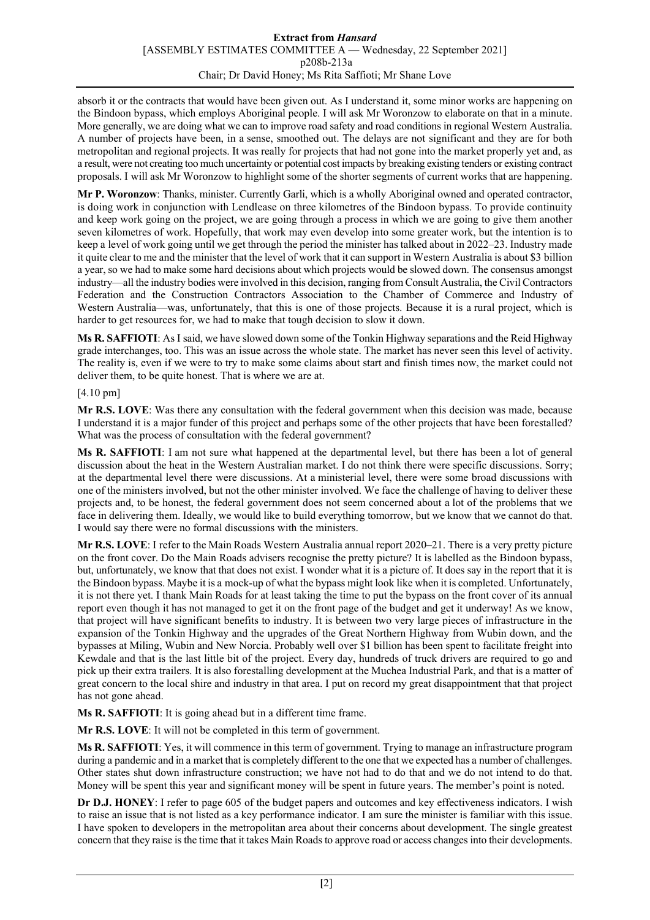#### **Extract from** *Hansard* [ASSEMBLY ESTIMATES COMMITTEE A — Wednesday, 22 September 2021] p208b-213a Chair; Dr David Honey; Ms Rita Saffioti; Mr Shane Love

absorb it or the contracts that would have been given out. As I understand it, some minor works are happening on the Bindoon bypass, which employs Aboriginal people. I will ask Mr Woronzow to elaborate on that in a minute. More generally, we are doing what we can to improve road safety and road conditions in regional Western Australia. A number of projects have been, in a sense, smoothed out. The delays are not significant and they are for both metropolitan and regional projects. It was really for projects that had not gone into the market properly yet and, as a result, were not creating too much uncertainty or potential cost impacts by breaking existing tenders or existing contract proposals. I will ask Mr Woronzow to highlight some of the shorter segments of current works that are happening.

**Mr P. Woronzow**: Thanks, minister. Currently Garli, which is a wholly Aboriginal owned and operated contractor, is doing work in conjunction with Lendlease on three kilometres of the Bindoon bypass. To provide continuity and keep work going on the project, we are going through a process in which we are going to give them another seven kilometres of work. Hopefully, that work may even develop into some greater work, but the intention is to keep a level of work going until we get through the period the minister has talked about in 2022–23. Industry made it quite clear to me and the minister that the level of work that it can support in Western Australia is about \$3 billion a year, so we had to make some hard decisions about which projects would be slowed down. The consensus amongst industry—all the industry bodies were involved in this decision, ranging from Consult Australia, the Civil Contractors Federation and the Construction Contractors Association to the Chamber of Commerce and Industry of Western Australia—was, unfortunately, that this is one of those projects. Because it is a rural project, which is harder to get resources for, we had to make that tough decision to slow it down.

**Ms R. SAFFIOTI**: As I said, we have slowed down some of the Tonkin Highway separations and the Reid Highway grade interchanges, too. This was an issue across the whole state. The market has never seen this level of activity. The reality is, even if we were to try to make some claims about start and finish times now, the market could not deliver them, to be quite honest. That is where we are at.

# [4.10 pm]

**Mr R.S. LOVE**: Was there any consultation with the federal government when this decision was made, because I understand it is a major funder of this project and perhaps some of the other projects that have been forestalled? What was the process of consultation with the federal government?

**Ms R. SAFFIOTI**: I am not sure what happened at the departmental level, but there has been a lot of general discussion about the heat in the Western Australian market. I do not think there were specific discussions. Sorry; at the departmental level there were discussions. At a ministerial level, there were some broad discussions with one of the ministers involved, but not the other minister involved. We face the challenge of having to deliver these projects and, to be honest, the federal government does not seem concerned about a lot of the problems that we face in delivering them. Ideally, we would like to build everything tomorrow, but we know that we cannot do that. I would say there were no formal discussions with the ministers.

**Mr R.S. LOVE**: I refer to the Main Roads Western Australia annual report 2020–21. There is a very pretty picture on the front cover. Do the Main Roads advisers recognise the pretty picture? It is labelled as the Bindoon bypass, but, unfortunately, we know that that does not exist. I wonder what it is a picture of. It does say in the report that it is the Bindoon bypass. Maybe it is a mock-up of what the bypass might look like when it is completed. Unfortunately, it is not there yet. I thank Main Roads for at least taking the time to put the bypass on the front cover of its annual report even though it has not managed to get it on the front page of the budget and get it underway! As we know, that project will have significant benefits to industry. It is between two very large pieces of infrastructure in the expansion of the Tonkin Highway and the upgrades of the Great Northern Highway from Wubin down, and the bypasses at Miling, Wubin and New Norcia. Probably well over \$1 billion has been spent to facilitate freight into Kewdale and that is the last little bit of the project. Every day, hundreds of truck drivers are required to go and pick up their extra trailers. It is also forestalling development at the Muchea Industrial Park, and that is a matter of great concern to the local shire and industry in that area. I put on record my great disappointment that that project has not gone ahead.

**Ms R. SAFFIOTI**: It is going ahead but in a different time frame.

**Mr R.S. LOVE**: It will not be completed in this term of government.

**Ms R. SAFFIOTI**: Yes, it will commence in this term of government. Trying to manage an infrastructure program during a pandemic and in a market that is completely different to the one that we expected has a number of challenges. Other states shut down infrastructure construction; we have not had to do that and we do not intend to do that. Money will be spent this year and significant money will be spent in future years. The member's point is noted.

**Dr D.J. HONEY**: I refer to page 605 of the budget papers and outcomes and key effectiveness indicators. I wish to raise an issue that is not listed as a key performance indicator. I am sure the minister is familiar with this issue. I have spoken to developers in the metropolitan area about their concerns about development. The single greatest concern that they raise is the time that it takes Main Roads to approve road or access changes into their developments.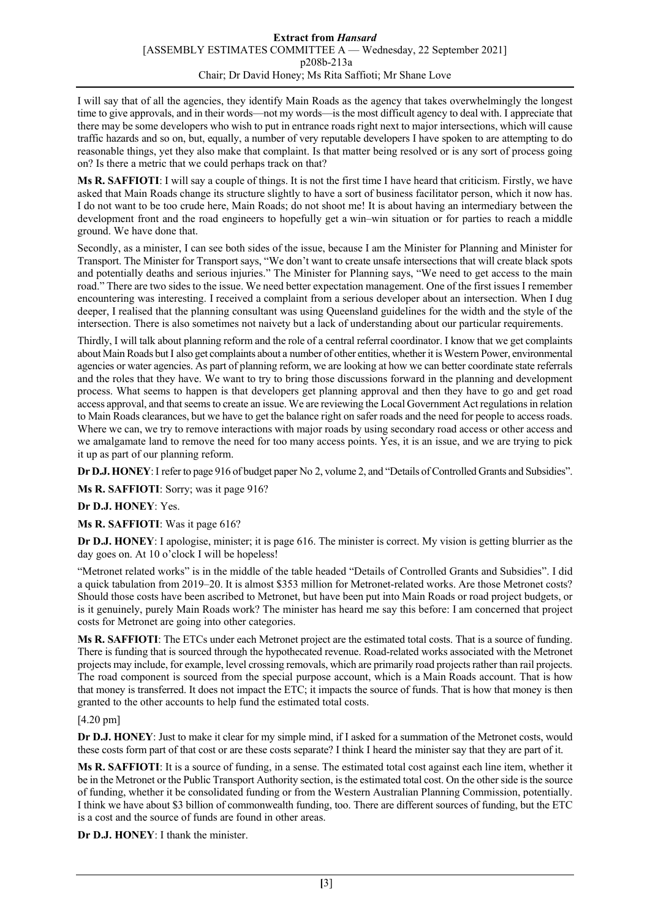I will say that of all the agencies, they identify Main Roads as the agency that takes overwhelmingly the longest time to give approvals, and in their words—not my words—is the most difficult agency to deal with. I appreciate that there may be some developers who wish to put in entrance roads right next to major intersections, which will cause traffic hazards and so on, but, equally, a number of very reputable developers I have spoken to are attempting to do reasonable things, yet they also make that complaint. Is that matter being resolved or is any sort of process going on? Is there a metric that we could perhaps track on that?

**Ms R. SAFFIOTI**: I will say a couple of things. It is not the first time I have heard that criticism. Firstly, we have asked that Main Roads change its structure slightly to have a sort of business facilitator person, which it now has. I do not want to be too crude here, Main Roads; do not shoot me! It is about having an intermediary between the development front and the road engineers to hopefully get a win–win situation or for parties to reach a middle ground. We have done that.

Secondly, as a minister, I can see both sides of the issue, because I am the Minister for Planning and Minister for Transport. The Minister for Transport says, "We don't want to create unsafe intersections that will create black spots and potentially deaths and serious injuries." The Minister for Planning says, "We need to get access to the main road." There are two sides to the issue. We need better expectation management. One of the first issues I remember encountering was interesting. I received a complaint from a serious developer about an intersection. When I dug deeper, I realised that the planning consultant was using Queensland guidelines for the width and the style of the intersection. There is also sometimes not naivety but a lack of understanding about our particular requirements.

Thirdly, I will talk about planning reform and the role of a central referral coordinator. I know that we get complaints about Main Roads but I also get complaints about a number of other entities, whether it is Western Power, environmental agencies or water agencies. As part of planning reform, we are looking at how we can better coordinate state referrals and the roles that they have. We want to try to bring those discussions forward in the planning and development process. What seems to happen is that developers get planning approval and then they have to go and get road access approval, and that seems to create an issue. We are reviewing the Local Government Act regulations in relation to Main Roads clearances, but we have to get the balance right on safer roads and the need for people to access roads. Where we can, we try to remove interactions with major roads by using secondary road access or other access and we amalgamate land to remove the need for too many access points. Yes, it is an issue, and we are trying to pick it up as part of our planning reform.

**Dr D.J. HONEY**:I refer to page 916 of budget paper No 2, volume 2, and "Details of Controlled Grants and Subsidies".

**Ms R. SAFFIOTI**: Sorry; was it page 916?

**Dr D.J. HONEY**: Yes.

**Ms R. SAFFIOTI**: Was it page 616?

**Dr D.J. HONEY**: I apologise, minister; it is page 616. The minister is correct. My vision is getting blurrier as the day goes on. At 10 o'clock I will be hopeless!

"Metronet related works" is in the middle of the table headed "Details of Controlled Grants and Subsidies". I did a quick tabulation from 2019–20. It is almost \$353 million for Metronet-related works. Are those Metronet costs? Should those costs have been ascribed to Metronet, but have been put into Main Roads or road project budgets, or is it genuinely, purely Main Roads work? The minister has heard me say this before: I am concerned that project costs for Metronet are going into other categories.

**Ms R. SAFFIOTI**: The ETCs under each Metronet project are the estimated total costs. That is a source of funding. There is funding that is sourced through the hypothecated revenue. Road-related works associated with the Metronet projects may include, for example, level crossing removals, which are primarily road projects rather than rail projects. The road component is sourced from the special purpose account, which is a Main Roads account. That is how that money is transferred. It does not impact the ETC; it impacts the source of funds. That is how that money is then granted to the other accounts to help fund the estimated total costs.

# [4.20 pm]

**Dr D.J. HONEY**: Just to make it clear for my simple mind, if I asked for a summation of the Metronet costs, would these costs form part of that cost or are these costs separate? I think I heard the minister say that they are part of it.

**Ms R. SAFFIOTI**: It is a source of funding, in a sense. The estimated total cost against each line item, whether it be in the Metronet or the Public Transport Authority section, is the estimated total cost. On the other side is the source of funding, whether it be consolidated funding or from the Western Australian Planning Commission, potentially. I think we have about \$3 billion of commonwealth funding, too. There are different sources of funding, but the ETC is a cost and the source of funds are found in other areas.

**Dr D.J. HONEY**: I thank the minister.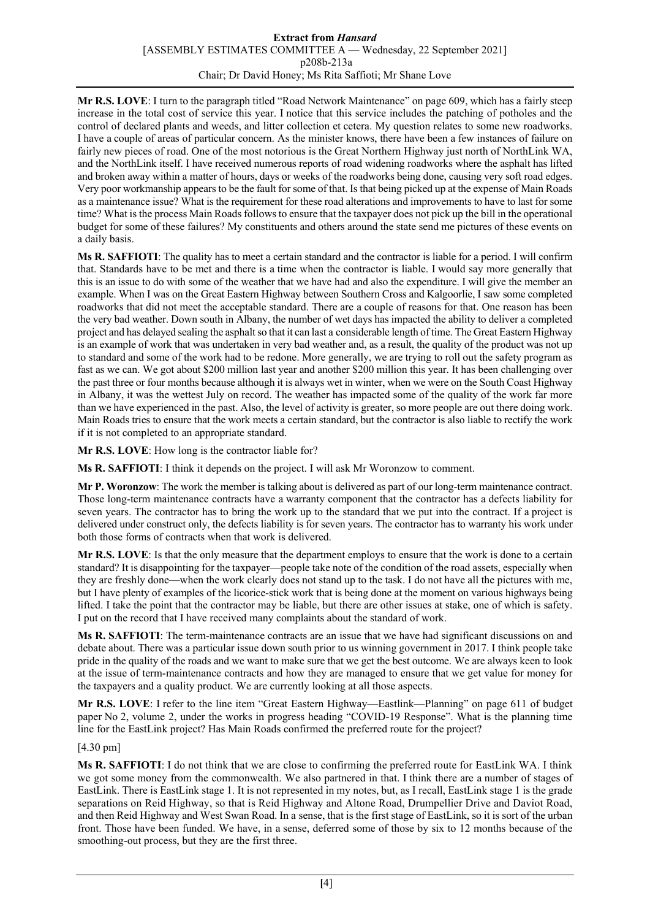#### **Extract from** *Hansard* [ASSEMBLY ESTIMATES COMMITTEE A — Wednesday, 22 September 2021] p208b-213a Chair; Dr David Honey; Ms Rita Saffioti; Mr Shane Love

**Mr R.S. LOVE**: I turn to the paragraph titled "Road Network Maintenance" on page 609, which has a fairly steep increase in the total cost of service this year. I notice that this service includes the patching of potholes and the control of declared plants and weeds, and litter collection et cetera. My question relates to some new roadworks. I have a couple of areas of particular concern. As the minister knows, there have been a few instances of failure on fairly new pieces of road. One of the most notorious is the Great Northern Highway just north of NorthLink WA, and the NorthLink itself. I have received numerous reports of road widening roadworks where the asphalt has lifted and broken away within a matter of hours, days or weeks of the roadworks being done, causing very soft road edges. Very poor workmanship appears to be the fault for some of that. Is that being picked up at the expense of Main Roads as a maintenance issue? What is the requirement for these road alterations and improvements to have to last for some time? What is the process Main Roads follows to ensure that the taxpayer does not pick up the bill in the operational budget for some of these failures? My constituents and others around the state send me pictures of these events on a daily basis.

**Ms R. SAFFIOTI**: The quality has to meet a certain standard and the contractor is liable for a period. I will confirm that. Standards have to be met and there is a time when the contractor is liable. I would say more generally that this is an issue to do with some of the weather that we have had and also the expenditure. I will give the member an example. When I was on the Great Eastern Highway between Southern Cross and Kalgoorlie, I saw some completed roadworks that did not meet the acceptable standard. There are a couple of reasons for that. One reason has been the very bad weather. Down south in Albany, the number of wet days has impacted the ability to deliver a completed project and has delayed sealing the asphalt so that it can last a considerable length of time. The Great Eastern Highway is an example of work that was undertaken in very bad weather and, as a result, the quality of the product was not up to standard and some of the work had to be redone. More generally, we are trying to roll out the safety program as fast as we can. We got about \$200 million last year and another \$200 million this year. It has been challenging over the past three or four months because although it is always wet in winter, when we were on the South Coast Highway in Albany, it was the wettest July on record. The weather has impacted some of the quality of the work far more than we have experienced in the past. Also, the level of activity is greater, so more people are out there doing work. Main Roads tries to ensure that the work meets a certain standard, but the contractor is also liable to rectify the work if it is not completed to an appropriate standard.

**Mr R.S. LOVE**: How long is the contractor liable for?

**Ms R. SAFFIOTI**: I think it depends on the project. I will ask Mr Woronzow to comment.

**Mr P. Woronzow**: The work the member is talking about is delivered as part of our long-term maintenance contract. Those long-term maintenance contracts have a warranty component that the contractor has a defects liability for seven years. The contractor has to bring the work up to the standard that we put into the contract. If a project is delivered under construct only, the defects liability is for seven years. The contractor has to warranty his work under both those forms of contracts when that work is delivered.

**Mr R.S. LOVE**: Is that the only measure that the department employs to ensure that the work is done to a certain standard? It is disappointing for the taxpayer—people take note of the condition of the road assets, especially when they are freshly done—when the work clearly does not stand up to the task. I do not have all the pictures with me, but I have plenty of examples of the licorice-stick work that is being done at the moment on various highways being lifted. I take the point that the contractor may be liable, but there are other issues at stake, one of which is safety. I put on the record that I have received many complaints about the standard of work.

**Ms R. SAFFIOTI**: The term-maintenance contracts are an issue that we have had significant discussions on and debate about. There was a particular issue down south prior to us winning government in 2017. I think people take pride in the quality of the roads and we want to make sure that we get the best outcome. We are always keen to look at the issue of term-maintenance contracts and how they are managed to ensure that we get value for money for the taxpayers and a quality product. We are currently looking at all those aspects.

**Mr R.S. LOVE**: I refer to the line item "Great Eastern Highway—Eastlink—Planning" on page 611 of budget paper No 2, volume 2, under the works in progress heading "COVID-19 Response". What is the planning time line for the EastLink project? Has Main Roads confirmed the preferred route for the project?

# [4.30 pm]

**Ms R. SAFFIOTI**: I do not think that we are close to confirming the preferred route for EastLink WA. I think we got some money from the commonwealth. We also partnered in that. I think there are a number of stages of EastLink. There is EastLink stage 1. It is not represented in my notes, but, as I recall, EastLink stage 1 is the grade separations on Reid Highway, so that is Reid Highway and Altone Road, Drumpellier Drive and Daviot Road, and then Reid Highway and West Swan Road. In a sense, that is the first stage of EastLink, so it is sort of the urban front. Those have been funded. We have, in a sense, deferred some of those by six to 12 months because of the smoothing-out process, but they are the first three.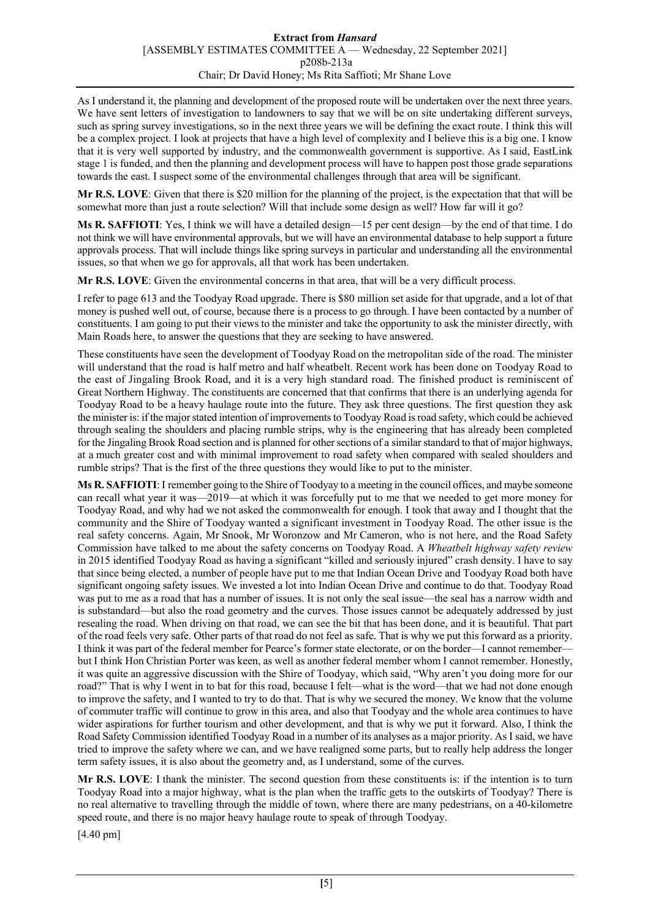As I understand it, the planning and development of the proposed route will be undertaken over the next three years. We have sent letters of investigation to landowners to say that we will be on site undertaking different surveys, such as spring survey investigations, so in the next three years we will be defining the exact route. I think this will be a complex project. I look at projects that have a high level of complexity and I believe this is a big one. I know that it is very well supported by industry, and the commonwealth government is supportive. As I said, EastLink stage 1 is funded, and then the planning and development process will have to happen post those grade separations towards the east. I suspect some of the environmental challenges through that area will be significant.

**Mr R.S. LOVE**: Given that there is \$20 million for the planning of the project, is the expectation that that will be somewhat more than just a route selection? Will that include some design as well? How far will it go?

**Ms R. SAFFIOTI**: Yes, I think we will have a detailed design—15 per cent design—by the end of that time. I do not think we will have environmental approvals, but we will have an environmental database to help support a future approvals process. That will include things like spring surveys in particular and understanding all the environmental issues, so that when we go for approvals, all that work has been undertaken.

**Mr R.S. LOVE**: Given the environmental concerns in that area, that will be a very difficult process.

I refer to page 613 and the Toodyay Road upgrade. There is \$80 million set aside for that upgrade, and a lot of that money is pushed well out, of course, because there is a process to go through. I have been contacted by a number of constituents. I am going to put their views to the minister and take the opportunity to ask the minister directly, with Main Roads here, to answer the questions that they are seeking to have answered.

These constituents have seen the development of Toodyay Road on the metropolitan side of the road. The minister will understand that the road is half metro and half wheatbelt. Recent work has been done on Toodyay Road to the east of Jingaling Brook Road, and it is a very high standard road. The finished product is reminiscent of Great Northern Highway. The constituents are concerned that that confirms that there is an underlying agenda for Toodyay Road to be a heavy haulage route into the future. They ask three questions. The first question they ask the minister is: if the major stated intention of improvements to Toodyay Road is road safety, which could be achieved through sealing the shoulders and placing rumble strips, why is the engineering that has already been completed for the Jingaling Brook Road section and is planned for other sections of a similar standard to that of major highways, at a much greater cost and with minimal improvement to road safety when compared with sealed shoulders and rumble strips? That is the first of the three questions they would like to put to the minister.

**Ms R. SAFFIOTI**: I remember going to the Shire of Toodyay to a meeting in the council offices, and maybe someone can recall what year it was—2019—at which it was forcefully put to me that we needed to get more money for Toodyay Road, and why had we not asked the commonwealth for enough. I took that away and I thought that the community and the Shire of Toodyay wanted a significant investment in Toodyay Road. The other issue is the real safety concerns. Again, Mr Snook, Mr Woronzow and Mr Cameron, who is not here, and the Road Safety Commission have talked to me about the safety concerns on Toodyay Road. A *Wheatbelt highway safety review* in 2015 identified Toodyay Road as having a significant "killed and seriously injured" crash density. I have to say that since being elected, a number of people have put to me that Indian Ocean Drive and Toodyay Road both have significant ongoing safety issues. We invested a lot into Indian Ocean Drive and continue to do that. Toodyay Road was put to me as a road that has a number of issues. It is not only the seal issue—the seal has a narrow width and is substandard—but also the road geometry and the curves. Those issues cannot be adequately addressed by just resealing the road. When driving on that road, we can see the bit that has been done, and it is beautiful. That part of the road feels very safe. Other parts of that road do not feel as safe. That is why we put this forward as a priority. I think it was part of the federal member for Pearce's former state electorate, or on the border—I cannot remember but I think Hon Christian Porter was keen, as well as another federal member whom I cannot remember. Honestly, it was quite an aggressive discussion with the Shire of Toodyay, which said, "Why aren't you doing more for our road?" That is why I went in to bat for this road, because I felt—what is the word—that we had not done enough to improve the safety, and I wanted to try to do that. That is why we secured the money. We know that the volume of commuter traffic will continue to grow in this area, and also that Toodyay and the whole area continues to have wider aspirations for further tourism and other development, and that is why we put it forward. Also, I think the Road Safety Commission identified Toodyay Road in a number of its analyses as a major priority. As I said, we have tried to improve the safety where we can, and we have realigned some parts, but to really help address the longer term safety issues, it is also about the geometry and, as I understand, some of the curves.

**Mr R.S. LOVE**: I thank the minister. The second question from these constituents is: if the intention is to turn Toodyay Road into a major highway, what is the plan when the traffic gets to the outskirts of Toodyay? There is no real alternative to travelling through the middle of town, where there are many pedestrians, on a 40-kilometre speed route, and there is no major heavy haulage route to speak of through Toodyay.

[4.40 pm]